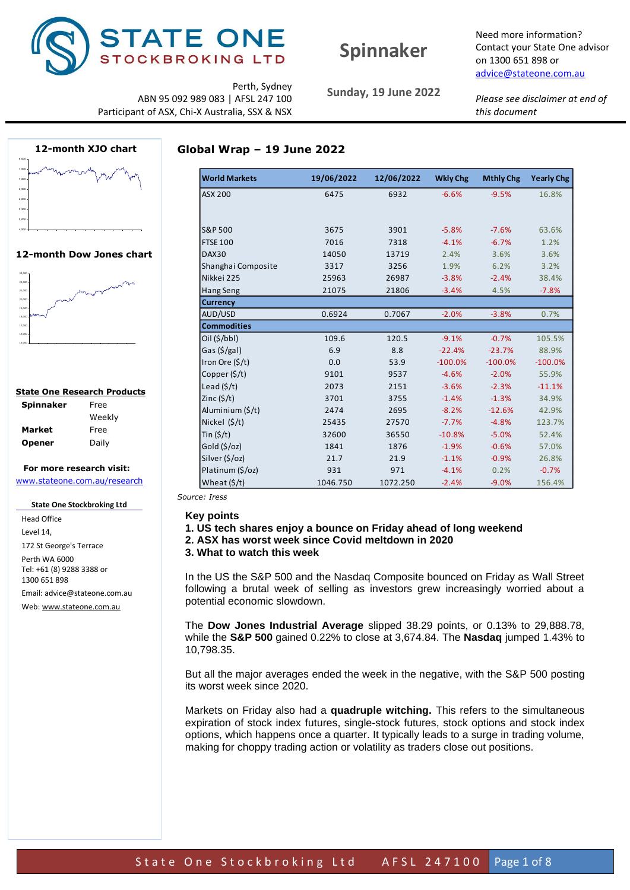

# **Spinnaker**

Need more information? Contact your State One advisor on 1300 651 898 or [advice@stateone.com.au](mailto:advice@stateone.com.au)

Perth, Sydney ABN 95 092 989 083 | AFSL 247 100 Participant of ASX, Chi-X Australia, SSX & NSX

**12-month XJO chart** 4,500 5,000 5,500 6,000 6,500 7,000 7,500 8,000

#### **12-month Dow Jones chart**



### **State One Research Products**

| <b>Spinnaker</b> | Free   |
|------------------|--------|
|                  | Weekly |
| Market           | Free   |
| Opener           | Daily  |

### **For more research visit:** [www.stateone.com.au/research](http://www.stateone.com.au/research)

**State One Stockbroking Ltd**

Head Office Level 14, 172 St George's Terrace Perth WA 6000 Tel: +61 (8) 9288 3388 or 1300 651 898 Email: advice@stateone.com.au Web[: www.stateone.com.au](http://www.stateone.com.au/)

**Sunday, 19 June 2022**

*Please see disclaimer at end of this document*

### **Global Wrap – 19 June 2022**

| <b>World Markets</b>   | 19/06/2022 | 12/06/2022 | <b>Wkly Chg</b> | <b>Mthly Chg</b> | <b>Yearly Chg</b> |
|------------------------|------------|------------|-----------------|------------------|-------------------|
| <b>ASX 200</b>         | 6475       | 6932       | $-6.6%$         | $-9.5%$          | 16.8%             |
|                        |            |            |                 |                  |                   |
|                        |            |            |                 |                  |                   |
| <b>S&amp;P 500</b>     | 3675       | 3901       | $-5.8%$         | $-7.6%$          | 63.6%             |
| <b>FTSE 100</b>        | 7016       | 7318       | $-4.1%$         | $-6.7%$          | 1.2%              |
| DAX30                  | 14050      | 13719      | 2.4%            | 3.6%             | 3.6%              |
| Shanghai Composite     | 3317       | 3256       | 1.9%            | 6.2%             | 3.2%              |
| Nikkei 225             | 25963      | 26987      | $-3.8%$         | $-2.4%$          | 38.4%             |
| Hang Seng              | 21075      | 21806      | $-3.4%$         | 4.5%             | $-7.8%$           |
| <b>Currency</b>        |            |            |                 |                  |                   |
| AUD/USD                | 0.6924     | 0.7067     | $-2.0%$         | $-3.8%$          | 0.7%              |
| <b>Commodities</b>     |            |            |                 |                  |                   |
| $Oil$ (\$/bbl)         | 109.6      | 120.5      | $-9.1%$         | $-0.7%$          | 105.5%            |
| Gas $(\frac{5}{g}$ al) | 6.9        | 8.8        | $-22.4%$        | $-23.7%$         | 88.9%             |
| Iron Ore (\$/t)        | 0.0        | 53.9       | $-100.0%$       | $-100.0%$        | $-100.0%$         |
| Copper $(\frac{5}{t})$ | 9101       | 9537       | $-4.6%$         | $-2.0%$          | 55.9%             |
| Lead $(5/t)$           | 2073       | 2151       | $-3.6%$         | $-2.3%$          | $-11.1%$          |
| Zinc $(5/t)$           | 3701       | 3755       | $-1.4%$         | $-1.3%$          | 34.9%             |
| Aluminium (\$/t)       | 2474       | 2695       | $-8.2%$         | $-12.6%$         | 42.9%             |
| Nickel $(5/t)$         | 25435      | 27570      | $-7.7%$         | $-4.8%$          | 123.7%            |
| Tin $(5/t)$            | 32600      | 36550      | $-10.8%$        | $-5.0%$          | 52.4%             |
| Gold $(5/oz)$          | 1841       | 1876       | $-1.9%$         | $-0.6%$          | 57.0%             |
| Silver (\$/oz)         | 21.7       | 21.9       | $-1.1%$         | $-0.9%$          | 26.8%             |
| Platinum (\$/oz)       | 931        | 971        | $-4.1%$         | 0.2%             | $-0.7%$           |
| Wheat $(\frac{2}{3})$  | 1046.750   | 1072.250   | $-2.4%$         | $-9.0%$          | 156.4%            |

*Source: Iress*

#### **Key points**

- **1. US tech shares enjoy a bounce on Friday ahead of long weekend**
- **2. ASX has worst week since Covid meltdown in 2020**

**3. What to watch this week**

In the US the S&P 500 and the Nasdaq Composite bounced on Friday as Wall Street following a brutal week of selling as investors grew increasingly worried about a potential economic slowdown.

The **Dow Jones Industrial Average** slipped 38.29 points, or 0.13% to 29,888.78, while the **S&P 500** gained 0.22% to close at 3,674.84. The **Nasdaq** jumped 1.43% to 10,798.35.

But all the major averages ended the week in the negative, with the S&P 500 posting its worst week since 2020.

Markets on Friday also had a **quadruple witching.** This refers to the simultaneous expiration of stock index futures, single-stock futures, stock options and stock index options, which happens once a quarter. It typically leads to a surge in trading volume, making for choppy trading action or volatility as traders close out positions.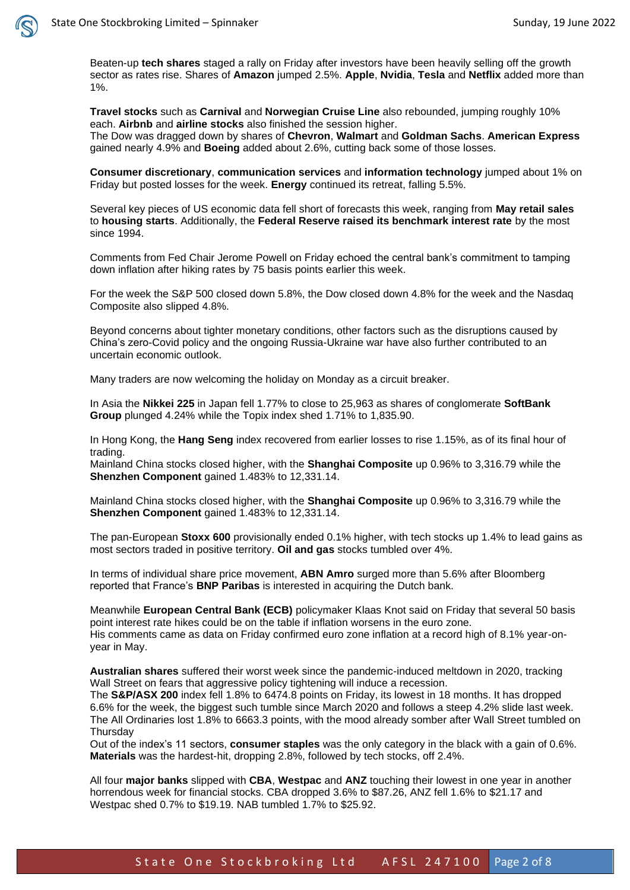

Beaten-up **tech shares** staged a rally on Friday after investors have been heavily selling off the growth sector as rates rise. Shares of **Amazon** jumped 2.5%. **Apple**, **Nvidia**, **Tesla** and **Netflix** added more than 1%.

**Travel stocks** such as **Carnival** and **Norwegian Cruise Line** also rebounded, jumping roughly 10% each. **Airbnb** and **airline stocks** also finished the session higher.

The Dow was dragged down by shares of **Chevron**, **Walmart** and **Goldman Sachs**. **American Express** gained nearly 4.9% and **Boeing** added about 2.6%, cutting back some of those losses.

**Consumer discretionary**, **communication services** and **information technology** jumped about 1% on Friday but posted losses for the week. **Energy** continued its retreat, falling 5.5%.

Several key pieces of US economic data fell short of forecasts this week, ranging from **May retail sales** to **housing starts**. Additionally, the **Federal Reserve raised its benchmark interest rate** by the most since 1994.

Comments from Fed Chair Jerome Powell on Friday echoed the central bank's commitment to tamping down inflation after hiking rates by 75 basis points earlier this week.

For the week the S&P 500 closed down 5.8%, the Dow closed down 4.8% for the week and the Nasdaq Composite also slipped 4.8%.

Beyond concerns about tighter monetary conditions, other factors such as the disruptions caused by China's zero-Covid policy and the ongoing Russia-Ukraine war have also further contributed to an uncertain economic outlook.

Many traders are now welcoming the holiday on Monday as a circuit breaker.

In Asia the **Nikkei 225** in Japan fell 1.77% to close to 25,963 as shares of conglomerate **SoftBank Group** plunged 4.24% while the Topix index shed 1.71% to 1,835.90.

In Hong Kong, the **Hang Seng** index recovered from earlier losses to rise 1.15%, as of its final hour of trading.

Mainland China stocks closed higher, with the **Shanghai Composite** up 0.96% to 3,316.79 while the **Shenzhen Component** gained 1.483% to 12,331.14.

Mainland China stocks closed higher, with the **Shanghai Composite** up 0.96% to 3,316.79 while the **Shenzhen Component** gained 1.483% to 12,331.14.

The pan-European **Stoxx 600** provisionally ended 0.1% higher, with tech stocks up 1.4% to lead gains as most sectors traded in positive territory. **Oil and gas** stocks tumbled over 4%.

In terms of individual share price movement, **ABN Amro** surged more than 5.6% after Bloomberg reported that France's **BNP Paribas** is interested in acquiring the Dutch bank.

Meanwhile **European Central Bank (ECB)** policymaker Klaas Knot said on Friday that several 50 basis point interest rate hikes could be on the table if inflation worsens in the euro zone. His comments came as data on Friday confirmed euro zone inflation at a record high of 8.1% year-onyear in May.

**Australian shares** suffered their worst week since the pandemic-induced meltdown in 2020, tracking Wall Street on fears that aggressive policy tightening will induce a recession.

The **S&P/ASX 200** index fell 1.8% to 6474.8 points on Friday, its lowest in 18 months. It has dropped 6.6% for the week, the biggest such tumble since March 2020 and follows a steep 4.2% slide last week. The All Ordinaries lost 1.8% to 6663.3 points, with the mood already somber after Wall Street tumbled on **Thursdav** 

Out of the index's 11 sectors, **consumer staples** was the only category in the black with a gain of 0.6%. **Materials** was the hardest-hit, dropping 2.8%, followed by tech stocks, off 2.4%.

All four **major banks** slipped with **CBA**, **Westpac** and **ANZ** touching their lowest in one year in another horrendous week for financial stocks. CBA dropped 3.6% to \$87.26, ANZ fell 1.6% to \$21.17 and Westpac shed 0.7% to \$19.19. NAB tumbled 1.7% to \$25.92.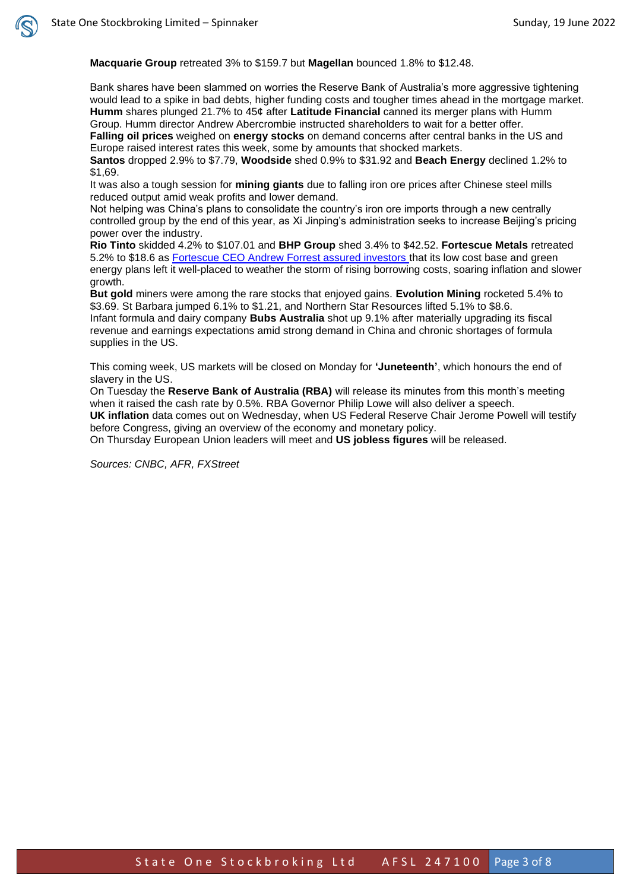**Macquarie Group** retreated 3% to \$159.7 but **Magellan** bounced 1.8% to \$12.48.

Bank shares have been slammed on worries the Reserve Bank of Australia's more aggressive tightening would lead to a spike in bad debts, higher funding costs and tougher times ahead in the mortgage market. **Humm** shares plunged 21.7% to 45¢ after **Latitude Financial** canned its merger plans with Humm Group. Humm director Andrew Abercrombie instructed shareholders to wait for a better offer. **Falling oil prices** weighed on **energy stocks** on demand concerns after central banks in the US and

Europe raised interest rates this week, some by amounts that shocked markets. **Santos** dropped 2.9% to \$7.79, **Woodside** shed 0.9% to \$31.92 and **Beach Energy** declined 1.2% to \$1,69.

It was also a tough session for **mining giants** due to falling iron ore prices after Chinese steel mills reduced output amid weak profits and lower demand.

Not helping was China's plans to consolidate the country's iron ore imports through a new centrally controlled group by the end of this year, as Xi Jinping's administration seeks to increase Beijing's pricing power over the industry.

**Rio Tinto** skidded 4.2% to \$107.01 and **BHP Group** shed 3.4% to \$42.52. **Fortescue Metals** retreated 5.2% to \$18.6 as [Fortescue CEO Andrew Forrest assured investors](https://www.afr.com/policy/economy/andrew-forrest-says-no-recession-but-expects-years-of-choppy-markets-20220617-p5augz) that its low cost base and green energy plans left it well-placed to weather the storm of rising borrowing costs, soaring inflation and slower growth.

**But gold** miners were among the rare stocks that enjoyed gains. **Evolution Mining** rocketed 5.4% to \$3.69. St Barbara jumped 6.1% to \$1.21, and Northern Star Resources lifted 5.1% to \$8.6. Infant formula and dairy company **Bubs Australia** shot up 9.1% after materially upgrading its fiscal revenue and earnings expectations amid strong demand in China and chronic shortages of formula supplies in the US.

This coming week, US markets will be closed on Monday for **'Juneteenth'**, which honours the end of slavery in the US.

On Tuesday the **Reserve Bank of Australia (RBA)** will release its minutes from this month's meeting when it raised the cash rate by 0.5%. RBA Governor Philip Lowe will also deliver a speech. **UK inflation** data comes out on Wednesday, when US Federal Reserve Chair Jerome Powell will testify before Congress, giving an overview of the economy and monetary policy.

On Thursday European Union leaders will meet and **US jobless figures** will be released.

*Sources: CNBC, AFR, FXStreet*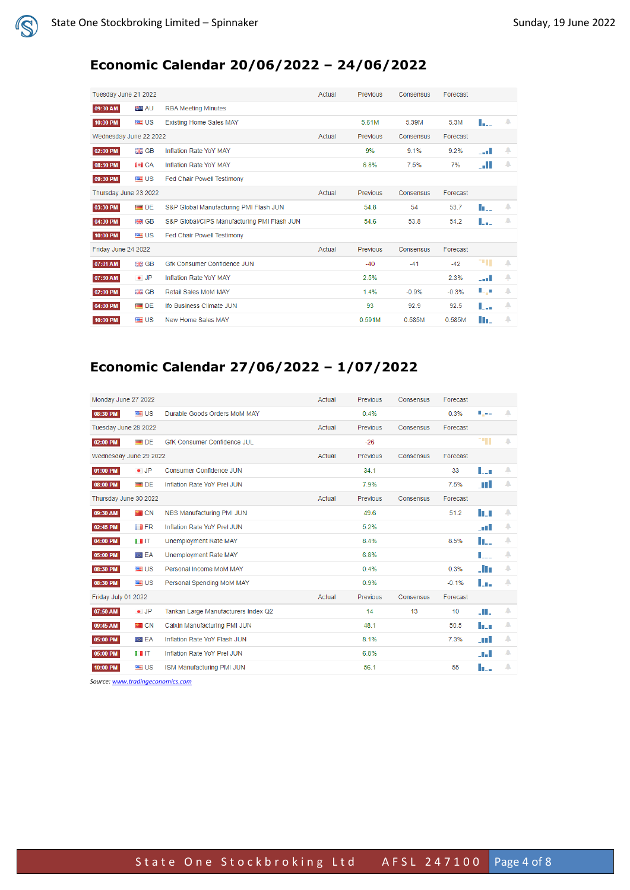# **Economic Calendar 20/06/2022 – 24/06/2022**

| Tuesday June 21 2022   |                   |                                             | Actual | Previous        | Consensus | Forecast |        |   |
|------------------------|-------------------|---------------------------------------------|--------|-----------------|-----------|----------|--------|---|
| 09:30 AM               | 图 AU              | <b>RBA Meeting Minutes</b>                  |        |                 |           |          |        |   |
| 10:00 PM               | ■US               | <b>Existing Home Sales MAY</b>              |        | 5.61M           | 5.39M     | 5.3M     | L.     | А |
| Wednesday June 22 2022 |                   |                                             | Actual | <b>Previous</b> | Consensus | Forecast |        |   |
| 02:00 PM               | <b>HA GB</b>      | Inflation Rate YoY MAY                      |        | 9%              | 9.1%      | 9.2%     | المدد  | А |
| 08:30 PM               | <b>IMICA</b>      | Inflation Rate YoY MAY                      |        | 6.8%            | 7.5%      | 7%       | . . II | А |
| 09:30 PM               | ■US               | Fed Chair Powell Testimony                  |        |                 |           |          |        |   |
| Thursday June 23 2022  |                   |                                             | Actual | <b>Previous</b> | Consensus | Forecast |        |   |
| 03:30 PM               | $\blacksquare$ DE | S&P Global Manufacturing PMI Flash JUN      |        | 54.8            | 54        | 53.7     | lo     | А |
| 04:30 PM               | 器 GB              | S&P Global/CIPS Manufacturing PMI Flash JUN |        | 54.6            | 53.8      | 54.2     | L.     | ▁ |
| 10:00 PM               | ■US               | <b>Fed Chair Powell Testimony</b>           |        |                 |           |          |        |   |
| Friday June 24 2022    |                   |                                             | Actual | <b>Previous</b> | Consensus | Forecast |        |   |
| 07:01 AM               | <b>SHE</b> GB     | Gfk Consumer Confidence JUN                 |        | $-40$           | $-41$     | $-42$    | TH.    | А |
| 07:30 AM               | $\bullet$ JP      | Inflation Rate YoY MAY                      |        | 2.5%            |           | 2.3%     | an L   | А |
| 02:00 PM               | <b>HE</b> GB      | Retail Sales MoM MAY                        |        | 1.4%            | $-0.9%$   | $-0.3%$  | L,     | Δ |
| 04:00 PM               | $\blacksquare$ DE | Ifo Business Climate JUN                    |        | 93              | 92.9      | 92.5     | L.,    | △ |
| 10:00 PM               | ■US               | New Home Sales MAY                          |        | 0.591M          | 0.585M    | 0.585M   | II.    | △ |

# **Economic Calendar 27/06/2022 – 1/07/2022**

| Monday June 27 2022    |                   |                                     | Actual | Previous        | Consensus | Forecast         |        |          |
|------------------------|-------------------|-------------------------------------|--------|-----------------|-----------|------------------|--------|----------|
| 08:30 PM               | <b>SEE</b> US     | Durable Goods Orders MoM MAY        |        | 0.4%            |           | 0.3%             | سيمرية | А        |
| Tuesday June 28 2022   |                   |                                     | Actual | <b>Previous</b> | Consensus | Forecast         |        |          |
| 02:00 PM               | $\blacksquare$ DE | <b>GfK Consumer Confidence JUL</b>  |        | $-26$           |           |                  | ш      | А        |
| Wednesday June 29 2022 |                   |                                     | Actual | <b>Previous</b> | Consensus | Forecast         |        |          |
| 01:00 PM               | $\bullet$ JP      | Consumer Confidence JUN             |        | 34.1            |           | 33               | ll an  | $\Delta$ |
| 08:00 PM               | $\blacksquare$ DE | Inflation Rate YoY Prel JUN         |        | 7.9%            |           | 7.5%             | . TI   | △        |
| Thursday June 30 2022  |                   |                                     | Actual | <b>Previous</b> | Consensus | Forecast         |        |          |
| 09:30 AM               | <b>PECN</b>       | NBS Manufacturing PMI JUN           |        | 49.6            |           | 51.2             | l Tur  | А        |
| 02:45 PM               | <b>II</b> FR      | Inflation Rate YoY Prel JUN         |        | 5.2%            |           |                  | n H    | А        |
| 04:00 PM               | II IT             | Unemployment Rate MAY               |        | 8.4%            |           | 8.5%             | II     | Δ        |
| 05:00 PM               | <b>DIEA</b>       | Unemployment Rate MAY               |        | 6.8%            |           |                  | L.,    | А        |
| 08:30 PM               | ■US               | Personal Income MoM MAY             |        | 0.4%            |           | 0.3%             | . In   | А        |
| 08:30 PM               | <b>SEE</b> US     | Personal Spending MoM MAY           |        | 0.9%            |           | $-0.1%$          | L.     | Δ        |
| Friday July 01 2022    |                   |                                     | Actual | Previous        | Consensus | Forecast         |        |          |
| 07:50 AM               | $\bullet$ JP      | Tankan Large Manufacturers Index Q2 |        | 14              | 13        | 10 <sup>10</sup> | JH.    | А        |
| 09:45 AM               | <b>P</b> CN       | Caixin Manufacturing PMI JUN        |        | 48.1            |           | 50.5             | lle an | $\Delta$ |
| 05:00 PM               | <b>DIEA</b>       | Inflation Rate YoY Flash JUN        |        | 8.1%            |           | 7.3%             | . IT L | А        |
| 05:00 PM               | I I IT            | Inflation Rate YoY Prel JUN         |        | 6.8%            |           |                  | n Ji   | А        |
| 10:00 PM               | ■ US              | <b>ISM Manufacturing PMI JUN</b>    |        | 56.1            |           | 55               | h.     | △        |
|                        |                   |                                     |        |                 |           |                  |        |          |

*Source[: www.tradingeconomics.com](http://www.tradingeconomics.com/)*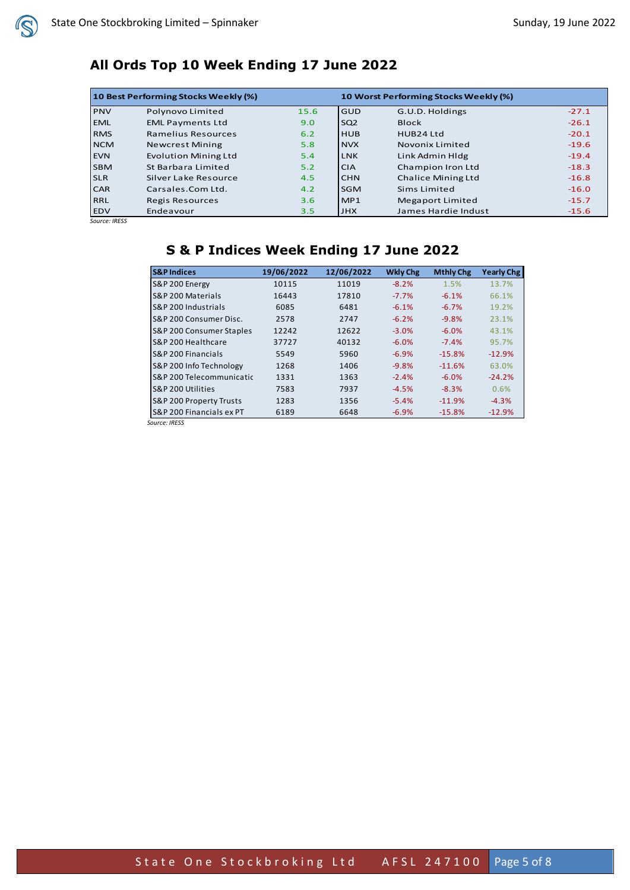# **All Ords Top 10 Week Ending 17 June 2022**

| 10 Best Performing Stocks Weekly (%) |                             |               |                 | 10 Worst Performing Stocks Weekly (%) |         |  |  |
|--------------------------------------|-----------------------------|---------------|-----------------|---------------------------------------|---------|--|--|
| <b>PNV</b>                           | Polynovo Limited            | 15.6          | <b>GUD</b>      | G.U.D. Holdings                       | $-27.1$ |  |  |
| <b>EML</b>                           | <b>EML Payments Ltd</b>     | 9.0           | SQ <sub>2</sub> | <b>Block</b>                          | $-26.1$ |  |  |
| <b>RMS</b>                           | Ramelius Resources          | 6.2           | <b>HUB</b>      | HUB24 Ltd                             | $-20.1$ |  |  |
| <b>NCM</b>                           | <b>Newcrest Mining</b>      | 5.8           | <b>NVX</b>      | Novonix Limited                       | $-19.6$ |  |  |
| <b>EVN</b>                           | <b>Evolution Mining Ltd</b> | 5.4           | <b>LNK</b>      | Link Admin Hldg                       | $-19.4$ |  |  |
| <b>SBM</b>                           | St Barbara Limited          | 5.2           | <b>CIA</b>      | Champion Iron Ltd                     | $-18.3$ |  |  |
| <b>SLR</b>                           | Silver Lake Resource        | $4.5^{\circ}$ | <b>CHN</b>      | Chalice Mining Ltd                    | $-16.8$ |  |  |
| <b>CAR</b>                           | Carsales.Com Ltd.           | 4.2           | <b>SGM</b>      | Sims Limited                          | $-16.0$ |  |  |
| <b>RRL</b>                           | <b>Regis Resources</b>      | 3.6           | MP1             | Megaport Limited                      | $-15.7$ |  |  |
| <b>EDV</b>                           | Endeavour                   | 3.5           | <b>JHX</b>      | James Hardie Indust                   | $-15.6$ |  |  |

*Source: IRESS*

# **S & P Indices Week Ending 17 June 2022**

| <b>S&amp;P Indices</b>              | 19/06/2022 | 12/06/2022 | <b>Wkly Chg</b> | <b>Mthly Chg</b> | <b>Yearly Chg</b> |
|-------------------------------------|------------|------------|-----------------|------------------|-------------------|
| S&P 200 Energy                      | 10115      | 11019      | $-8.2%$         | 1.5%             | 13.7%             |
| <b>S&amp;P 200 Materials</b>        | 16443      | 17810      | $-7.7%$         | $-6.1%$          | 66.1%             |
| S&P 200 Industrials                 | 6085       | 6481       | $-6.1%$         | $-6.7%$          | 19.2%             |
| IS&P 200 Consumer Disc.             | 2578       | 2747       | $-6.2%$         | $-9.8%$          | 23.1%             |
| <b>S&amp;P 200 Consumer Staples</b> | 12242      | 12622      | $-3.0%$         | $-6.0%$          | 43.1%             |
| IS&P 200 Healthcare                 | 37727      | 40132      | $-6.0%$         | $-7.4%$          | 95.7%             |
| <b>S&amp;P 200 Financials</b>       | 5549       | 5960       | $-6.9%$         | $-15.8%$         | $-12.9%$          |
| S&P 200 Info Technology             | 1268       | 1406       | $-9.8%$         | $-11.6%$         | 63.0%             |
| IS&P 200 Telecommunicatic           | 1331       | 1363       | $-2.4%$         | $-6.0%$          | $-24.2%$          |
| IS&P 200 Utilities                  | 7583       | 7937       | $-4.5%$         | $-8.3%$          | 0.6%              |
| <b>S&amp;P 200 Property Trusts</b>  | 1283       | 1356       | $-5.4%$         | $-11.9%$         | $-4.3%$           |
| IS&P 200 Financials ex PT           | 6189       | 6648       | $-6.9%$         | $-15.8%$         | $-12.9%$          |
|                                     |            |            |                 |                  |                   |

*Source: IRESS*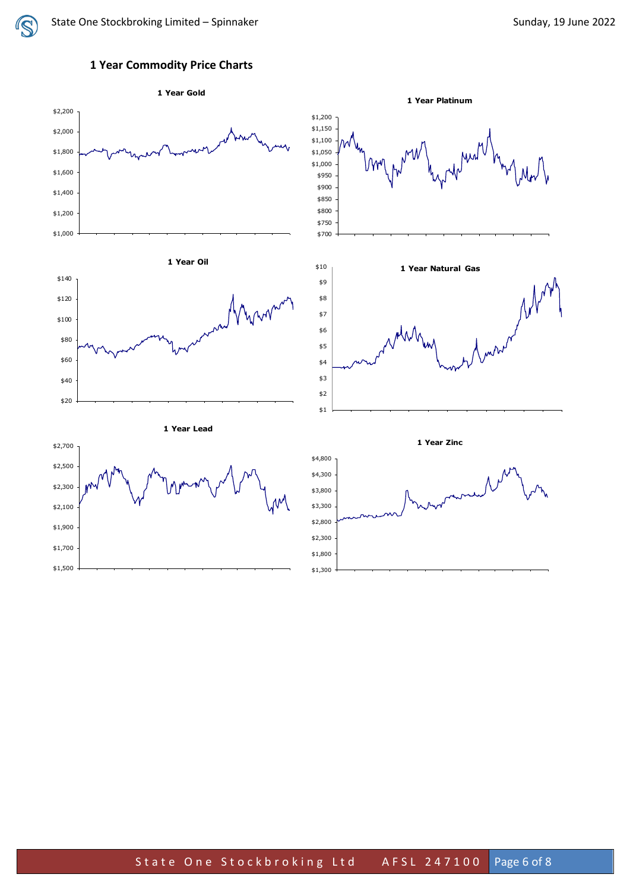

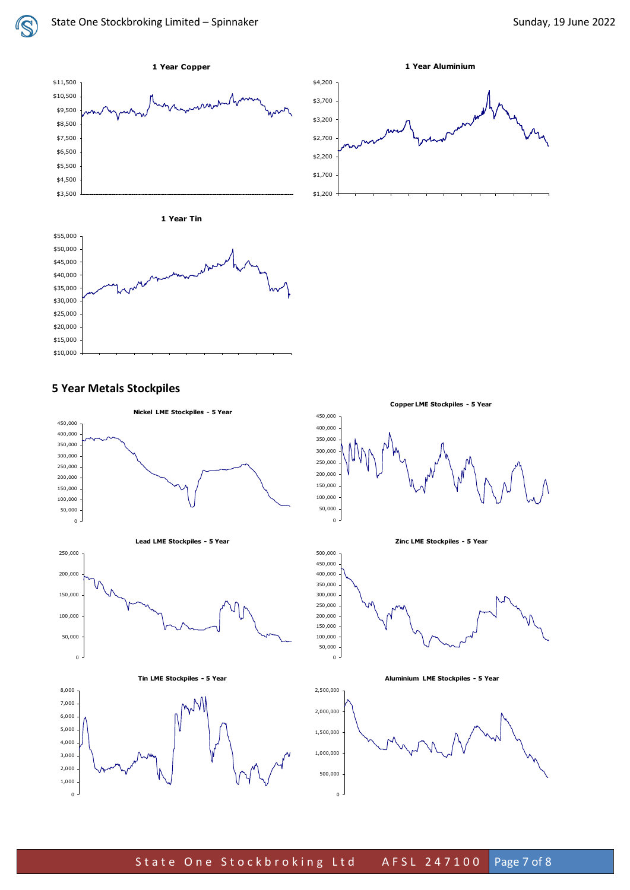IS





**Copper LME Stockpiles - 5 Year**





### **5 Year Metals Stockpiles**

 $\overline{0}$ 

**Nickel LME Stockpiles - 5 Year** 450,000 450,000 400,000 400,000 350,000 350,000 300,000 300,000 250,000 250,000 200,000 200,000 150,000 150,000 100,000 100,000 50,000 50,000  $\overline{0}$  $\Omega$ **Zinc LME Stockpiles - 5 Year Lead LME Stockpiles - 5 Year** 250,000 500,000 450,000 200,000 400,000 350,000 300,000 150,000 250,000 100,000 200,000 150,000 50,000 100,000 50,000  $\overline{0}$  $\overline{0}$ **Tin LME Stockpiles - 5 Year Aluminium LME Stockpiles - 5 Year**8,000 2,500,000 mN 7,000 2,000,000 6,000 5,000 1,500,000 4,000 1,000,000 3,000 2,000 500 ,000 1,000  $0<sup>-1</sup>$